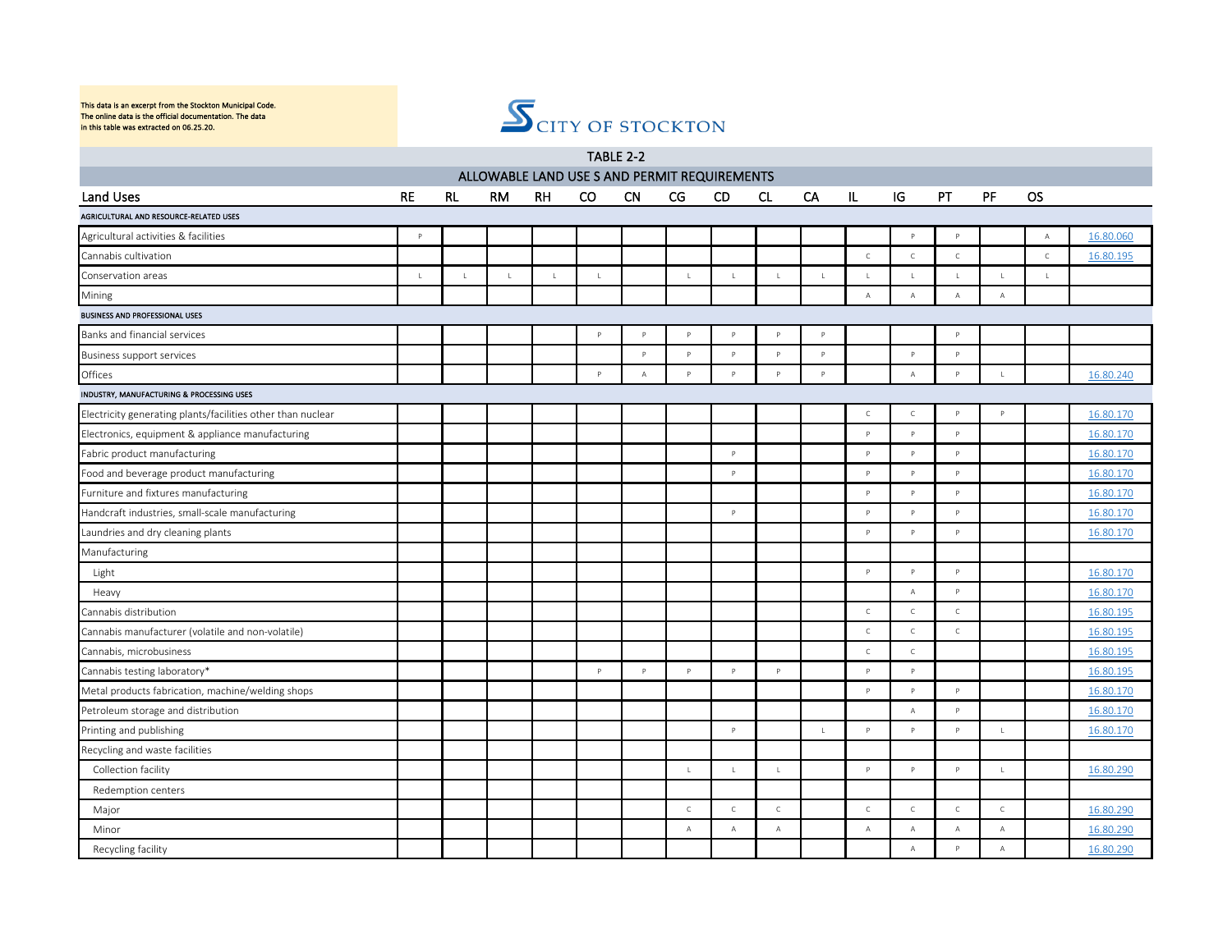

| TABLE 2-2<br>ALLOWABLE LAND USE S AND PERMIT REQUIREMENTS   |              |             |             |             |              |                |              |                |                |              |              |                |              |              |               |           |
|-------------------------------------------------------------|--------------|-------------|-------------|-------------|--------------|----------------|--------------|----------------|----------------|--------------|--------------|----------------|--------------|--------------|---------------|-----------|
|                                                             |              |             |             |             |              |                |              |                |                |              |              |                |              |              |               |           |
| Land Uses                                                   | <b>RE</b>    | <b>RL</b>   | <b>RM</b>   | RH          | CO.          | <b>CN</b>      | CG           | <b>CD</b>      | CL             | CA           | IL           | IG             | <b>PT</b>    | PF           | <b>OS</b>     |           |
| AGRICULTURAL AND RESOURCE-RELATED USES                      |              |             |             |             |              |                |              |                |                |              |              |                |              |              |               |           |
| Agricultural activities & facilities                        | $\mathsf{P}$ |             |             |             |              |                |              |                |                |              |              | p              | $\mathsf{p}$ |              | $\mathbb A$   | 16.80.060 |
| Cannabis cultivation                                        |              |             |             |             |              |                |              |                |                |              | $\mathsf{C}$ | $\mathsf{C}$   | $\mathsf{C}$ |              | $\mathcal{C}$ | 16.80.195 |
| Conservation areas                                          | $\mathsf L$  | $\mathsf L$ | $\mathsf L$ | $\mathsf L$ | $\mathsf{L}$ |                | $\mathsf{L}$ | $\mathsf{L}$   | $\mathsf{L}$   | $\mathsf{L}$ | $\mathbf{I}$ | $\mathsf{L}$   | $\mathsf L$  | $\mathsf{L}$ | $\mathsf{L}$  |           |
| Mining                                                      |              |             |             |             |              |                |              |                |                |              | $\mathsf A$  | $\mathbb A$    | $\mathbb A$  | $\mathsf A$  |               |           |
| <b>BUSINESS AND PROFESSIONAL USES</b>                       |              |             |             |             |              |                |              |                |                |              |              |                |              |              |               |           |
| Banks and financial services                                |              |             |             |             | P            | $\mathsf{D}$   | $\mathsf{p}$ |                | $\mathbf{D}$   |              |              |                | $\mathsf{p}$ |              |               |           |
| <b>Business support services</b>                            |              |             |             |             |              | $\mathsf{P}$   | $\mathsf{P}$ | $\mathsf{P}$   | $\mathsf{p}$   | p            |              | $\mathsf{P}$   | Þ            |              |               |           |
| Offices                                                     |              |             |             |             | P            | $\overline{A}$ | P            | P              | P              | P            |              | $\mathbb A$    | P            | $\mathbf{L}$ |               | 16.80.240 |
| INDUSTRY, MANUFACTURING & PROCESSING USES                   |              |             |             |             |              |                |              |                |                |              |              |                |              |              |               |           |
| Electricity generating plants/facilities other than nuclear |              |             |             |             |              |                |              |                |                |              | $\mathsf{C}$ | $\mathsf C$    | $\mathsf{P}$ | $\mathsf{P}$ |               | 16.80.170 |
| Electronics, equipment & appliance manufacturing            |              |             |             |             |              |                |              |                |                |              | <b>P</b>     | $\mathsf{P}$   | $\mathsf{P}$ |              |               | 16.80.170 |
| Fabric product manufacturing                                |              |             |             |             |              |                |              | $\mathsf{P}$   |                |              | P            | P              | $\mathsf{P}$ |              |               | 16.80.170 |
| Food and beverage product manufacturing                     |              |             |             |             |              |                |              | $\overline{D}$ |                |              | P            | P              | $\mathbf{D}$ |              |               | 16.80.170 |
| Furniture and fixtures manufacturing                        |              |             |             |             |              |                |              |                |                |              | P            | P              | P            |              |               | 16.80.170 |
| Handcraft industries, small-scale manufacturing             |              |             |             |             |              |                |              | $\mathsf{P}$   |                |              | $\mathsf{P}$ | $\mathsf{P}$   | $\mathsf{P}$ |              |               | 16.80.170 |
| Laundries and dry cleaning plants                           |              |             |             |             |              |                |              |                |                |              | P            | P              | P            |              |               | 16.80.170 |
| Manufacturing                                               |              |             |             |             |              |                |              |                |                |              |              |                |              |              |               |           |
| Light                                                       |              |             |             |             |              |                |              |                |                |              | P            | $\mathsf{P}$   | $\mathsf{P}$ |              |               | 16.80.170 |
| Heavy                                                       |              |             |             |             |              |                |              |                |                |              |              | $\mathbb A$    | $\mathsf{P}$ |              |               | 16.80.170 |
| Cannabis distribution                                       |              |             |             |             |              |                |              |                |                |              | $\mathsf C$  | $\mathsf C$    | $\mathsf C$  |              |               | 16.80.195 |
| Cannabis manufacturer (volatile and non-volatile)           |              |             |             |             |              |                |              |                |                |              | $\mathsf C$  | $\mathsf C$    | $\mathsf C$  |              |               | 16.80.195 |
| Cannabis, microbusiness                                     |              |             |             |             |              |                |              |                |                |              | $\mathsf{C}$ | $\mathsf C$    |              |              |               | 16.80.195 |
| Cannabis testing laboratory*                                |              |             |             |             | P            | P              | p            | $\mathsf{P}$   | p              |              | P            | $\mathsf{P}$   |              |              |               | 16.80.195 |
| Metal products fabrication, machine/welding shops           |              |             |             |             |              |                |              |                |                |              | P            | $\mathsf{P}$   | Þ            |              |               | 16.80.170 |
| Petroleum storage and distribution                          |              |             |             |             |              |                |              |                |                |              |              | $\overline{A}$ | P            |              |               | 16.80.170 |
| Printing and publishing                                     |              |             |             |             |              |                |              | $\mathsf{P}$   |                | $\mathbf{L}$ | P            | $\mathsf{P}$   | $\mathsf{P}$ | $\mathsf L$  |               | 16.80.170 |
| Recycling and waste facilities                              |              |             |             |             |              |                |              |                |                |              |              |                |              |              |               |           |
| Collection facility                                         |              |             |             |             |              |                | $\mathbf{I}$ | $\mathsf{L}$   | $\overline{1}$ |              | Þ            | $\mathsf{P}$   | $\mathsf{P}$ | $\mathsf{L}$ |               | 16.80.290 |
| Redemption centers                                          |              |             |             |             |              |                |              |                |                |              |              |                |              |              |               |           |
| Major                                                       |              |             |             |             |              |                | $\mathsf{C}$ | $\mathsf{C}$   | $\mathsf{C}$   |              | $\mathsf{C}$ | $\mathsf{C}$   | $\mathsf{C}$ | $\mathsf{C}$ |               | 16.80.290 |
| Minor                                                       |              |             |             |             |              |                | А            | $\mathbb A$    | $\mathsf{A}$   |              | $\mathsf A$  | $\mathbb A$    | $\mathbb A$  | $\mathbb A$  |               | 16.80.290 |
| Recycling facility                                          |              |             |             |             |              |                |              |                |                |              |              | $\mathbb A$    | P            | $\mathsf{A}$ |               | 16.80.290 |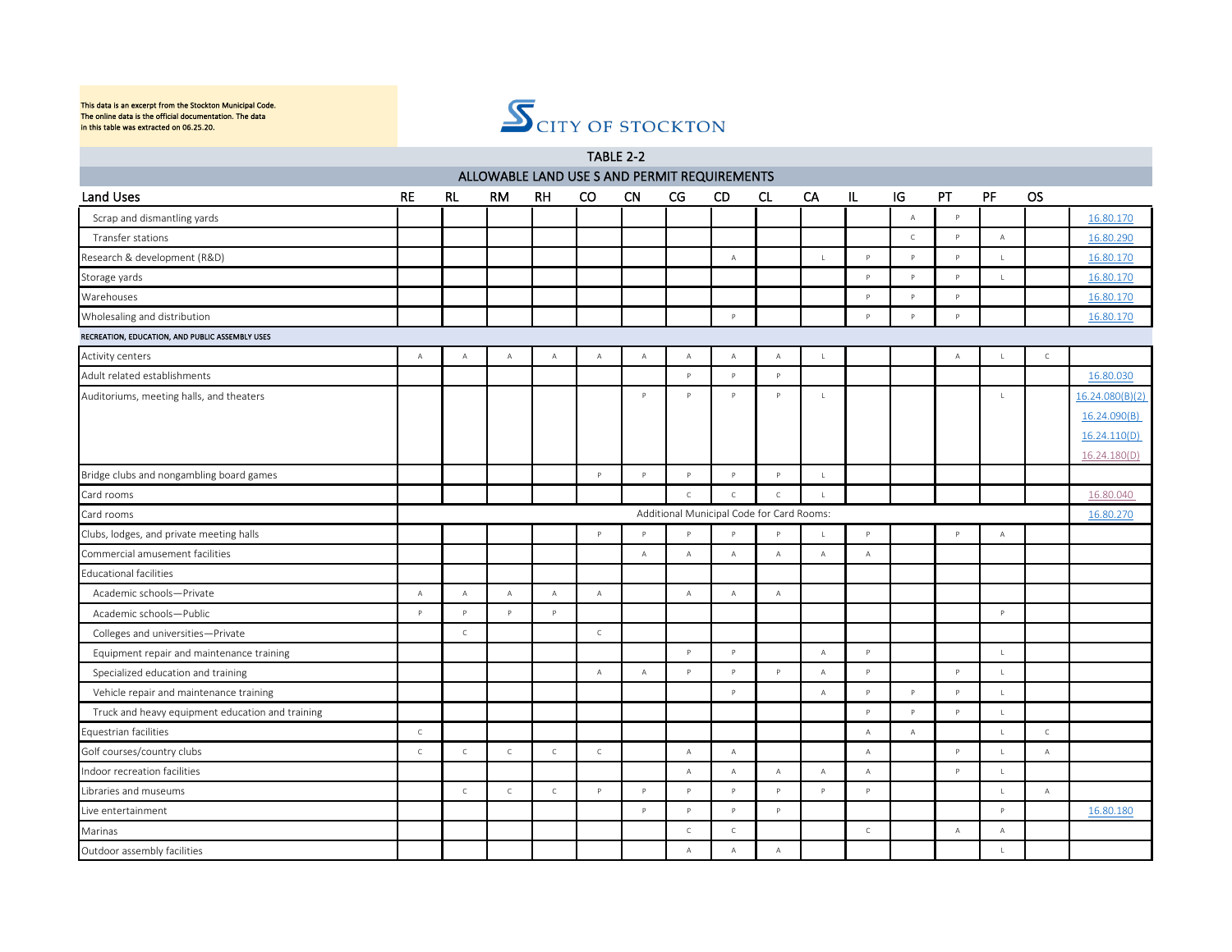

|                                                  |              |                |              |              | TABLE 2-2      |                |                |                                              |                |                |                |              |              |              |                |                 |
|--------------------------------------------------|--------------|----------------|--------------|--------------|----------------|----------------|----------------|----------------------------------------------|----------------|----------------|----------------|--------------|--------------|--------------|----------------|-----------------|
|                                                  |              |                |              |              |                |                |                | ALLOWABLE LAND USE S AND PERMIT REQUIREMENTS |                |                |                |              |              |              |                |                 |
| <b>Land Uses</b>                                 | <b>RE</b>    | RL             | <b>RM</b>    | RH           | CO.            | <b>CN</b>      | CG             | <b>CD</b>                                    | CL.            | CA             | IL             | IG           | PT           | PF           | <b>OS</b>      |                 |
| Scrap and dismantling yards                      |              |                |              |              |                |                |                |                                              |                |                |                | $\mathbb A$  | $\mathsf{P}$ |              |                | 16.80.170       |
| Transfer stations                                |              |                |              |              |                |                |                |                                              |                |                |                | $\mathsf{C}$ | $\mathsf{P}$ | А            |                | 16.80.290       |
| Research & development (R&D)                     |              |                |              |              |                |                |                | $\overline{A}$                               |                | $\mathsf{L}$   | P.             | $\mathsf{P}$ | $\mathsf{P}$ | $\mathsf{L}$ |                | 16.80.170       |
| Storage yards                                    |              |                |              |              |                |                |                |                                              |                |                | $\mathsf{P}$   | $\mathsf{P}$ | $\mathsf{P}$ | $\mathsf{L}$ |                | 16.80.170       |
| Warehouses                                       |              |                |              |              |                |                |                |                                              |                |                | P              | $\mathsf{P}$ | $\mathsf{P}$ |              |                | 16.80.170       |
| Wholesaling and distribution                     |              |                |              |              |                |                |                | P                                            |                |                | P              | $\mathsf{P}$ | $\mathsf{P}$ |              |                | 16.80.170       |
| RECREATION, EDUCATION, AND PUBLIC ASSEMBLY USES  |              |                |              |              |                |                |                |                                              |                |                |                |              |              |              |                |                 |
| Activity centers                                 | $\mathsf{A}$ | $\mathbb A$    | $\mathbb A$  | $\mathbb A$  | $\mathbb A$    | $\mathbb A$    | $\mathbb A$    | $\,$ A                                       | A              | $\mathbf{L}$   |                |              | $\mathbb A$  | $\perp$      | $\mathsf{C}$   |                 |
| Adult related establishments                     |              |                |              |              |                |                | $\mathsf{P}$   | $\overline{P}$                               | $\mathsf{P}$   |                |                |              |              |              |                | 16.80.030       |
| Auditoriums, meeting halls, and theaters         |              |                |              |              |                | $\mathsf{P}$   | p              | p                                            | P              | $\mathbf{L}$   |                |              |              | $\mathsf L$  |                | 16.24.080(B)(2) |
|                                                  |              |                |              |              |                |                |                |                                              |                |                |                |              |              |              |                | 16.24.090(B)    |
|                                                  |              |                |              |              |                |                |                |                                              |                |                |                |              |              |              |                | 16.24.110(D)    |
|                                                  |              |                |              |              |                |                |                |                                              |                |                |                |              |              |              |                | 16.24.180(D)    |
| Bridge clubs and nongambling board games         |              |                |              |              | $\mathsf{P}$   | $\mathsf{P}$   | $\mathsf{P}$   | $\mathsf{P}$                                 | P              | $\mathsf{L}$   |                |              |              |              |                |                 |
| Card rooms                                       |              |                |              |              |                |                | $\mathsf{C}$   | $\mathbb{C}$                                 | $\mathsf{C}$   | $\mathbf{L}$   |                |              |              |              |                | 16.80.040       |
| Card rooms                                       |              |                |              |              |                |                |                | Additional Municipal Code for Card Rooms:    |                |                |                |              |              |              |                | 16.80.270       |
| Clubs, lodges, and private meeting halls         |              |                |              |              | P              | $\mathsf{P}$   | p              | $\overline{D}$                               | D              | $\mathbf{I}$   | P              |              | $\mathsf{P}$ | $\mathbb A$  |                |                 |
| Commercial amusement facilities                  |              |                |              |              |                | $\overline{A}$ | $\mathbb A$    | $\overline{A}$                               | $\overline{A}$ | $\overline{A}$ | $\mathbb A$    |              |              |              |                |                 |
| <b>Educational facilities</b>                    |              |                |              |              |                |                |                |                                              |                |                |                |              |              |              |                |                 |
| Academic schools-Private                         | А            | $\mathbb A$    | $\mathbb A$  | $\mathsf A$  | $\overline{A}$ |                | $\mathsf{A}$   | $\mathbb A$                                  | $\mathsf{A}$   |                |                |              |              |              |                |                 |
| Academic schools-Public                          | $\mathsf{P}$ | P              | $\mathsf{P}$ | P            |                |                |                |                                              |                |                |                |              |              | P            |                |                 |
| Colleges and universities-Private                |              | $\mathsf C$    |              |              | $\mathsf{C}$   |                |                |                                              |                |                |                |              |              |              |                |                 |
| Equipment repair and maintenance training        |              |                |              |              |                |                | $\mathsf{P}$   | $\mathsf{P}$                                 |                | $\overline{A}$ | $\mathsf{P}$   |              |              | $\mathsf{L}$ |                |                 |
| Specialized education and training               |              |                |              |              | $\overline{A}$ | $\mathbb A$    | P              | $\mathsf{P}$                                 | P              | $\overline{A}$ | P              |              | $\mathsf{P}$ | $\mathsf{L}$ |                |                 |
| Vehicle repair and maintenance training          |              |                |              |              |                |                |                | $\overline{P}$                               |                | $\mathbb A$    | P              | $\mathsf{P}$ | $\mathsf{P}$ | $\mathsf L$  |                |                 |
| Truck and heavy equipment education and training |              |                |              |              |                |                |                |                                              |                |                | $\mathsf{P}$   | $\mathsf{P}$ | $\mathsf{P}$ | $\mathsf{L}$ |                |                 |
| Equestrian facilities                            | $\mathsf C$  |                |              |              |                |                |                |                                              |                |                | $\mathbb A$    | $\mathbb A$  |              | $\mathsf L$  | $\mathsf C$    |                 |
| Golf courses/country clubs                       | $\mathsf{C}$ | $\mathsf C$    | $\mathsf C$  | $\mathsf C$  | $\mathsf{C}$   |                | $\overline{A}$ | $\overline{A}$                               |                |                | $\overline{A}$ |              | P            | $\mathsf{L}$ | $\overline{A}$ |                 |
| Indoor recreation facilities                     |              |                |              |              |                |                | $\mathbb A$    | $\overline{A}$                               | $\overline{A}$ | $\overline{A}$ | $\mathbb A$    |              | P            | $\mathsf{L}$ |                |                 |
| Libraries and museums                            |              | $\mathsf{C}^-$ | $\mathsf{C}$ | $\mathsf{C}$ | $\mathsf{P}$   | $\mathsf{P}$   | $\mathsf{P}$   | P                                            | $\mathsf{P}$   | P              | $\mathsf{P}$   |              |              | $\mathsf L$  | $\mathbb A$    |                 |
| Live entertainment                               |              |                |              |              |                | $\mathsf{P}$   | $\mathsf{P}$   | $\mathsf{P}$                                 | $\mathsf{P}$   |                |                |              |              | $\mathsf{P}$ |                | 16.80.180       |
| Marinas                                          |              |                |              |              |                |                | $\mathsf{C}$   | $\mathsf{C}$                                 |                |                | $\mathsf{C}$   |              | $\mathbb{A}$ | $\mathsf{A}$ |                |                 |
| Outdoor assembly facilities                      |              |                |              |              |                |                | $\mathbb A$    | $\mathsf{A}$                                 | $\mathsf A$    |                |                |              |              | $\mathsf L$  |                |                 |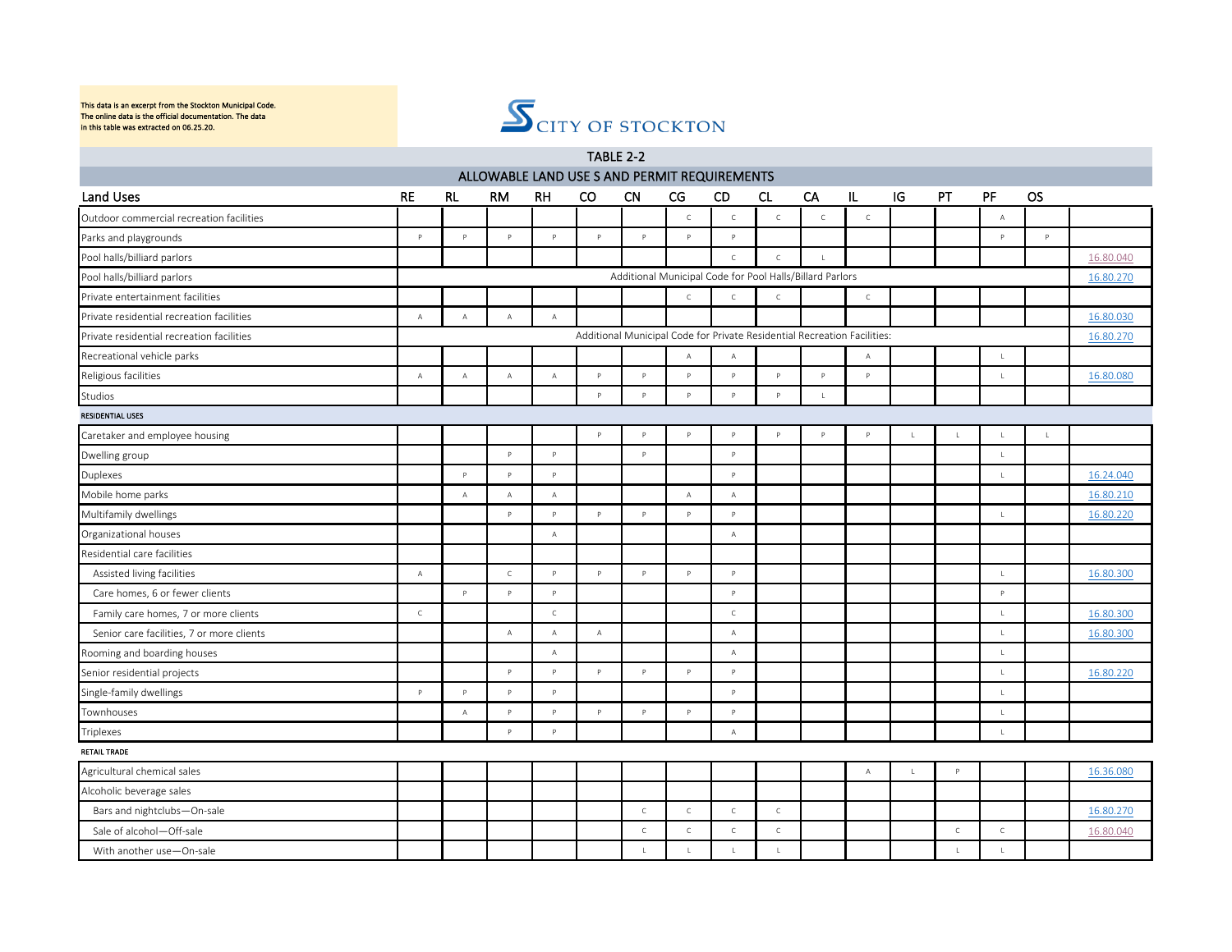

|                                           |                |                                                                          |                |                | TABLE 2-2                                    |              |              |                                                          |                |              |              |               |              |                |              |           |
|-------------------------------------------|----------------|--------------------------------------------------------------------------|----------------|----------------|----------------------------------------------|--------------|--------------|----------------------------------------------------------|----------------|--------------|--------------|---------------|--------------|----------------|--------------|-----------|
|                                           |                |                                                                          |                |                | ALLOWABLE LAND USE S AND PERMIT REQUIREMENTS |              |              |                                                          |                |              |              |               |              |                |              |           |
| Land Uses                                 | <b>RE</b>      | <b>RL</b>                                                                | <b>RM</b>      | <b>RH</b>      | <sub>co</sub>                                | <b>CN</b>    | CG           | <b>CD</b>                                                | <b>CL</b>      | CA           | IL           | $\mathsf{IG}$ | PT           | PF             | <b>OS</b>    |           |
| Outdoor commercial recreation facilities  |                |                                                                          |                |                |                                              |              | $\mathsf C$  | $\mathsf{C}$                                             | $\mathsf C$    | $\mathsf{C}$ | $\mathsf C$  |               |              | А              |              |           |
| Parks and playgrounds                     | P              | p                                                                        | P              | $\mathsf{P}$   | P                                            | P            | P            | P                                                        |                |              |              |               |              | P              | P            |           |
| Pool halls/billiard parlors               |                |                                                                          |                |                |                                              |              |              | $\mathsf{C}$                                             | $\mathsf{C}$   | $\mathsf{L}$ |              |               |              |                |              | 16.80.040 |
| Pool halls/billiard parlors               |                |                                                                          |                |                |                                              |              |              | Additional Municipal Code for Pool Halls/Billard Parlors |                |              |              |               |              |                |              | 16.80.270 |
| Private entertainment facilities          |                |                                                                          |                |                |                                              |              | $\mathsf{C}$ | $\mathsf{C}$                                             | $\mathsf{C}$   |              | $\mathsf{C}$ |               |              |                |              |           |
| Private residential recreation facilities | $\mathsf{A}$   | $\mathbb A$                                                              | $\mathbb A$    | $\mathsf{A}$   |                                              |              |              |                                                          |                |              |              |               |              |                |              | 16.80.030 |
| Private residential recreation facilities |                | Additional Municipal Code for Private Residential Recreation Facilities: |                |                |                                              |              |              |                                                          |                |              |              |               |              |                |              | 16.80.270 |
| Recreational vehicle parks                |                |                                                                          |                |                |                                              |              | $\mathbb A$  | $\mathbb A$                                              |                |              | $\Delta$     |               |              | $\mathbf{I}$   |              |           |
| Religious facilities                      | $\overline{A}$ | $\Delta$                                                                 | $\mathbb A$    | $\overline{A}$ | P                                            | Þ            | p            | $\mathsf{p}$                                             | $\mathsf{P}$   | Þ            | Þ            |               |              | $\mathbf{I}$   |              | 16.80.080 |
| Studios                                   |                |                                                                          |                |                | P                                            | Þ            | p            | $\mathsf{p}$                                             | $\mathsf{P}$   | $\mathsf L$  |              |               |              |                |              |           |
| <b>RESIDENTIAL USES</b>                   |                |                                                                          |                |                |                                              |              |              |                                                          |                |              |              |               |              |                |              |           |
| Caretaker and employee housing            |                |                                                                          |                |                | P                                            | P            | $\mathsf{P}$ | $\mathsf{P}$                                             | $\mathsf{P}$   | P.           | Þ            | $\mathbf{I}$  | $\mathbf{I}$ | $\overline{1}$ | $\mathbf{I}$ |           |
| Dwelling group                            |                |                                                                          | $\mathsf{P}$   | P.             |                                              | $\mathsf{P}$ |              | $\mathsf{P}$                                             |                |              |              |               |              | $\mathsf L$    |              |           |
| Duplexes                                  |                | $\mathsf{P}$                                                             | $\mathsf{P}$   | $\mathsf{P}$   |                                              |              |              | $\mathsf{P}$                                             |                |              |              |               |              | $\mathsf L$    |              | 16.24.040 |
| Mobile home parks                         |                | $\mathbb A$                                                              | $\mathbb A$    | $\overline{A}$ |                                              |              | $\Delta$     | $\mathbb A$                                              |                |              |              |               |              |                |              | 16.80.210 |
| Multifamily dwellings                     |                |                                                                          | P              | $\mathsf{P}$   | P                                            | Þ            | p            | P                                                        |                |              |              |               |              | $\mathsf{L}$   |              | 16.80.220 |
| Organizational houses                     |                |                                                                          |                | $\overline{A}$ |                                              |              |              | $\mathbb A$                                              |                |              |              |               |              |                |              |           |
| Residential care facilities               |                |                                                                          |                |                |                                              |              |              |                                                          |                |              |              |               |              |                |              |           |
| Assisted living facilities                | $\mathsf A$    |                                                                          | $\mathsf{C}$   | $\mathsf{P}$   | P                                            | P            | P            | P                                                        |                |              |              |               |              | $\mathsf{L}$   |              | 16.80.300 |
| Care homes, 6 or fewer clients            |                | P                                                                        | $\mathsf{P}$   | $\mathsf{P}$   |                                              |              |              | P                                                        |                |              |              |               |              | $\mathsf{P}$   |              |           |
| Family care homes, 7 or more clients      | $\mathsf C$    |                                                                          |                | $\mathsf C$    |                                              |              |              | $\mathsf{C}$                                             |                |              |              |               |              | $\mathsf L$    |              | 16.80.300 |
| Senior care facilities, 7 or more clients |                |                                                                          | $\overline{A}$ | $\mathbb A$    | $\mathbb A$                                  |              |              | $\overline{A}$                                           |                |              |              |               |              | $\mathsf{L}$   |              | 16.80.300 |
| Rooming and boarding houses               |                |                                                                          |                | $\mathbb A$    |                                              |              |              | $\mathbb A$                                              |                |              |              |               |              | $\mathsf L$    |              |           |
| Senior residential projects               |                |                                                                          | $\mathsf{P}$   | $\mathsf{P}$   | $\mathsf{P}$                                 | P            | $\mathsf{P}$ | $\mathsf{P}$                                             |                |              |              |               |              | $\mathsf L$    |              | 16.80.220 |
| Single-family dwellings                   | P              | p                                                                        | P              | $\mathsf{P}$   |                                              |              |              | $\mathsf{P}$                                             |                |              |              |               |              | $\mathsf L$    |              |           |
| Townhouses                                |                | $\Delta$                                                                 | $\mathsf{P}$   | $\mathsf{p}$   | <b>P</b>                                     | Þ            | Þ            | $\mathsf{D}$                                             |                |              |              |               |              | $\mathsf L$    |              |           |
| Triplexes                                 |                |                                                                          | $\mathsf{P}$   | $\mathsf{P}$   |                                              |              |              | $\mathsf A$                                              |                |              |              |               |              | $\mathsf L$    |              |           |
| <b>RETAIL TRADE</b>                       |                |                                                                          |                |                |                                              |              |              |                                                          |                |              |              |               |              |                |              |           |
| Agricultural chemical sales               |                |                                                                          |                |                |                                              |              |              |                                                          |                |              | $\Delta$     | $\mathbf{I}$  | $\mathsf{p}$ |                |              | 16.36.080 |
| Alcoholic beverage sales                  |                |                                                                          |                |                |                                              |              |              |                                                          |                |              |              |               |              |                |              |           |
| Bars and nightclubs-On-sale               |                |                                                                          |                |                |                                              | $\mathsf C$  | $\mathsf C$  | $\mathsf C$                                              | $\mathsf{C}$   |              |              |               |              |                |              | 16.80.270 |
| Sale of alcohol-Off-sale                  |                |                                                                          |                |                |                                              | $\mathsf C$  | $\mathsf C$  | $\mathsf C$                                              | $\mathsf C$    |              |              |               | $\mathsf C$  | $\mathsf C$    |              | 16.80.040 |
| With another use-On-sale                  |                |                                                                          |                |                |                                              | $\mathbb{R}$ | $\mathbf{I}$ | $\mathbf{1}$                                             | $\blacksquare$ |              |              |               | $\mathbf{1}$ | $\mathsf{L}$   |              |           |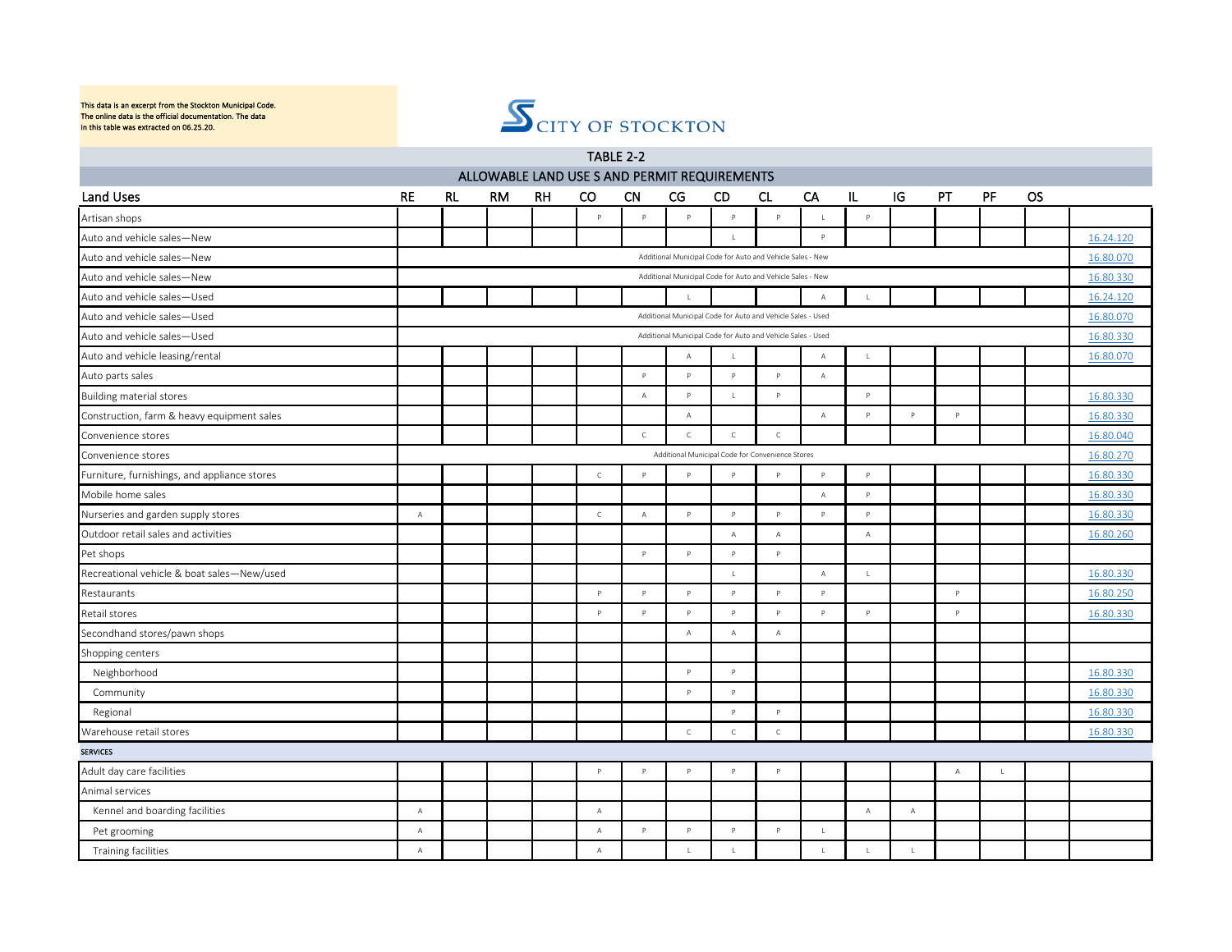

|                                              |                |                                                             |    |    | TABLE 2-2                                    |              |                |                                                             |                |              |              |              |              |              |           |           |
|----------------------------------------------|----------------|-------------------------------------------------------------|----|----|----------------------------------------------|--------------|----------------|-------------------------------------------------------------|----------------|--------------|--------------|--------------|--------------|--------------|-----------|-----------|
|                                              |                |                                                             |    |    | ALLOWABLE LAND USE S AND PERMIT REQUIREMENTS |              |                |                                                             |                |              |              |              |              |              |           |           |
| Land Uses                                    | <b>RE</b>      | <b>RL</b>                                                   | RM | RH | CO                                           | <b>CN</b>    | CG             | <b>CD</b>                                                   | <b>CL</b>      | CA           | IL.          | IG           | PT           | PF           | <b>OS</b> |           |
| Artisan shops                                |                |                                                             |    |    | $\mathsf{P}$                                 | P            | $\mathsf{P}$   | $\mathsf{P}$                                                | $\mathsf{P}$   | $\mathbf{I}$ | $\mathsf{P}$ |              |              |              |           |           |
| Auto and vehicle sales-New                   |                |                                                             |    |    |                                              |              |                |                                                             |                | P            |              |              |              |              |           | 16.24.120 |
| Auto and vehicle sales-New                   |                |                                                             |    |    |                                              |              |                | Additional Municipal Code for Auto and Vehicle Sales - New  |                |              |              |              |              |              |           | 16.80.070 |
| Auto and vehicle sales-New                   |                |                                                             |    |    |                                              |              |                | Additional Municipal Code for Auto and Vehicle Sales - New  |                |              |              |              |              |              |           | 16.80.330 |
| Auto and vehicle sales-Used                  |                |                                                             |    |    |                                              |              | $\mathbf{L}$   |                                                             |                | $\mathbb A$  | $\mathbf{I}$ |              |              |              |           | 16.24.120 |
| Auto and vehicle sales-Used                  |                |                                                             |    |    |                                              |              |                | Additional Municipal Code for Auto and Vehicle Sales - Used |                |              |              |              |              |              |           | 16.80.070 |
| Auto and vehicle sales-Used                  |                | Additional Municipal Code for Auto and Vehicle Sales - Used |    |    |                                              |              |                |                                                             |                |              |              |              |              |              |           | 16.80.330 |
| Auto and vehicle leasing/rental              |                |                                                             |    |    |                                              |              | $\mathbb A$    | $\mathbf{I}$                                                |                | $\mathbb A$  | $\mathsf{L}$ |              |              |              |           | 16.80.070 |
| Auto parts sales                             |                |                                                             |    |    |                                              | P            | $\mathsf{P}$   | $\mathsf{P}$                                                | $\mathsf{P}$   | $\mathsf A$  |              |              |              |              |           |           |
| <b>Building material stores</b>              |                |                                                             |    |    |                                              | А            | $\mathsf{P}$   | $\mathsf{L}$                                                | P              |              | $\mathsf{P}$ |              |              |              |           | 16.80.330 |
| Construction, farm & heavy equipment sales   |                |                                                             |    |    |                                              |              | $\mathbb A$    |                                                             |                | $\mathbb A$  | $\mathsf{P}$ | $\mathsf{P}$ | $\mathsf{P}$ |              |           | 16.80.330 |
| Convenience stores                           |                |                                                             |    |    |                                              | $\mathsf{C}$ | $\mathsf{C}$   | $\mathsf{C}$                                                | $\mathsf{C}$   |              |              |              |              |              |           | 16.80.040 |
| Convenience stores                           |                |                                                             |    |    |                                              |              |                | Additional Municipal Code for Convenience Stores            |                |              |              |              |              |              |           | 16.80.270 |
| Furniture, furnishings, and appliance stores |                |                                                             |    |    | $\mathsf C$                                  | $\mathsf{P}$ | $\mathsf{P}$   | $\mathsf{P}$                                                | P              | $\mathsf{P}$ | $\mathsf{P}$ |              |              |              |           | 16.80.330 |
| Mobile home sales                            |                |                                                             |    |    |                                              |              |                |                                                             |                | $\mathbb A$  | $\mathsf{P}$ |              |              |              |           | 16.80.330 |
| Nurseries and garden supply stores           | $\overline{A}$ |                                                             |    |    | $\mathcal{C}$                                | $\mathbb A$  | $\mathsf{P}$   | $\mathsf{P}$                                                | p              | P            | Þ            |              |              |              |           | 16.80.330 |
| Outdoor retail sales and activities          |                |                                                             |    |    |                                              |              |                | А                                                           | А              |              | $\mathbb A$  |              |              |              |           | 16.80.260 |
| Pet shops                                    |                |                                                             |    |    |                                              | P            | $\mathsf{p}$   | P                                                           | $\mathsf{P}$   |              |              |              |              |              |           |           |
| Recreational vehicle & boat sales-New/used   |                |                                                             |    |    |                                              |              |                | $\mathbf{1}$                                                |                | $\mathsf A$  | $\mathsf{L}$ |              |              |              |           | 16.80.330 |
| Restaurants                                  |                |                                                             |    |    | $\mathsf{P}$                                 | P            | $\mathsf{P}$   | $\mathsf{P}$                                                | $\mathsf{P}$   | $\mathsf{P}$ |              |              | $\mathsf{P}$ |              |           | 16.80.250 |
| Retail stores                                |                |                                                             |    |    | $\mathsf{P}$                                 | $\mathsf{P}$ | $\mathsf{P}$   | $\mathsf{P}$                                                | $\mathsf{P}$   | $\mathsf{P}$ | $\mathsf{P}$ |              | $\mathsf P$  |              |           | 16.80.330 |
| Secondhand stores/pawn shops                 |                |                                                             |    |    |                                              |              | $\overline{A}$ | $\overline{A}$                                              | $\overline{A}$ |              |              |              |              |              |           |           |
| Shopping centers                             |                |                                                             |    |    |                                              |              |                |                                                             |                |              |              |              |              |              |           |           |
| Neighborhood                                 |                |                                                             |    |    |                                              |              | $\mathsf{p}$   | $\mathsf{P}$                                                |                |              |              |              |              |              |           | 16.80.330 |
| Community                                    |                |                                                             |    |    |                                              |              | $\mathsf{P}$   | $\mathsf{P}$                                                |                |              |              |              |              |              |           | 16.80.330 |
| Regional                                     |                |                                                             |    |    |                                              |              |                | $\mathsf{P}$                                                | p              |              |              |              |              |              |           | 16.80.330 |
| Warehouse retail stores                      |                |                                                             |    |    |                                              |              | $\,$ C         | $\mathsf C$                                                 | $\mathsf{C}$   |              |              |              |              |              |           | 16.80.330 |
| <b>SERVICES</b>                              |                |                                                             |    |    |                                              |              |                |                                                             |                |              |              |              |              |              |           |           |
| Adult day care facilities                    |                |                                                             |    |    | P                                            | P            | $\mathsf{P}$   | $\mathsf{P}$                                                | $\mathsf{P}$   |              |              |              | $\Delta$     | $\mathbf{I}$ |           |           |
| Animal services                              |                |                                                             |    |    |                                              |              |                |                                                             |                |              |              |              |              |              |           |           |
| Kennel and boarding facilities               | $\overline{A}$ |                                                             |    |    | $\overline{A}$                               |              |                |                                                             |                |              | $\mathsf{A}$ | А            |              |              |           |           |
| Pet grooming                                 | $\overline{A}$ |                                                             |    |    | $\mathsf{A}$                                 | P            | $\mathsf{P}$   | $\mathsf{P}$                                                | $\mathsf{P}$   | $\mathsf{L}$ |              |              |              |              |           |           |
| Training facilities                          | $\overline{A}$ |                                                             |    |    | $\mathbb A$                                  |              | $\mathbf{1}$   | $\perp$                                                     |                | $\mathbf{L}$ | $\mathbf{L}$ | $\mathbf{I}$ |              |              |           |           |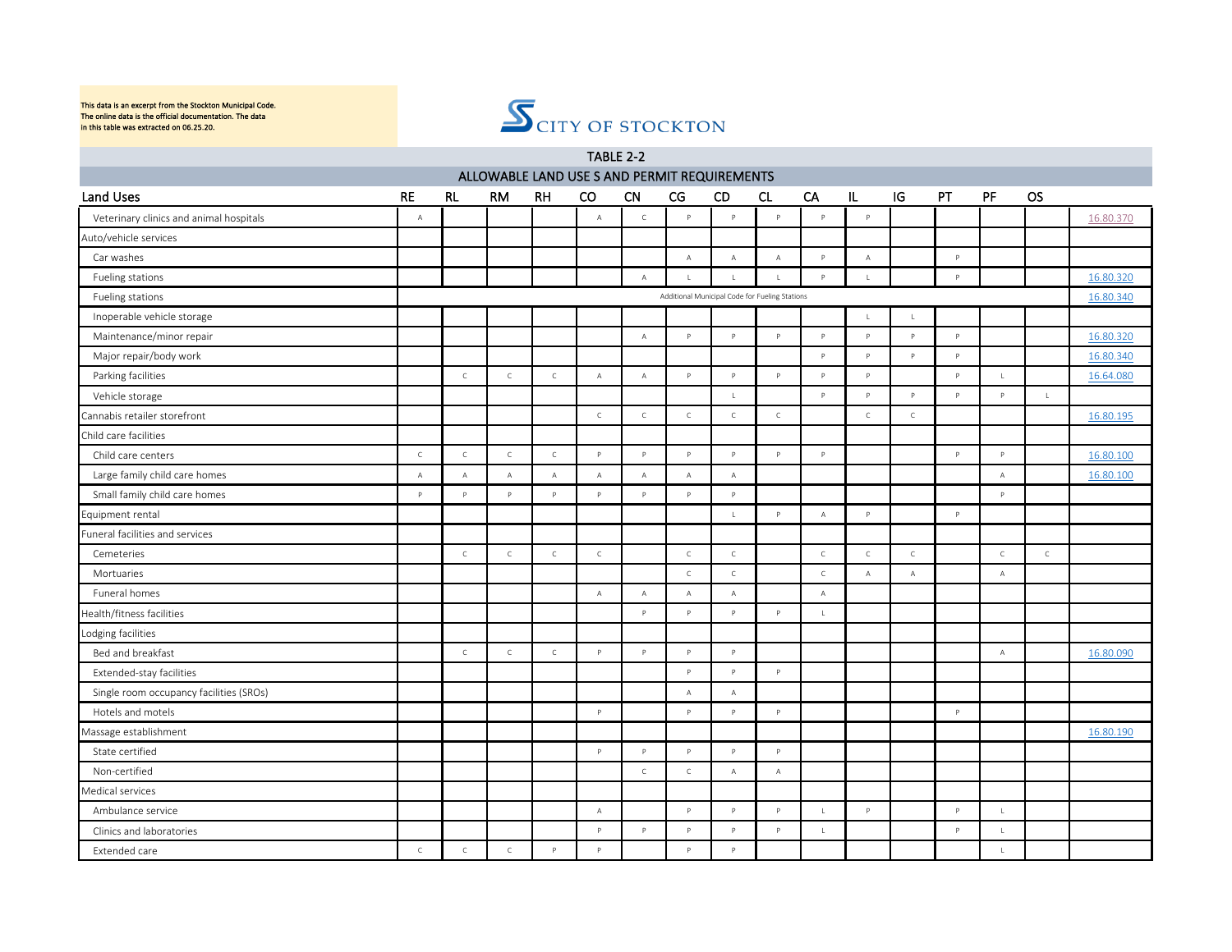

|                                         |                |              |              |                | TABLE 2-2                                    |              |              |                                                |              |              |                |              |              |              |              |           |
|-----------------------------------------|----------------|--------------|--------------|----------------|----------------------------------------------|--------------|--------------|------------------------------------------------|--------------|--------------|----------------|--------------|--------------|--------------|--------------|-----------|
|                                         |                |              |              |                | ALLOWABLE LAND USE S AND PERMIT REQUIREMENTS |              |              |                                                |              |              |                |              |              |              |              |           |
| Land Uses                               | <b>RE</b>      | <b>RL</b>    | <b>RM</b>    | <b>RH</b>      | <sub>co</sub>                                | <b>CN</b>    | CG           | <b>CD</b>                                      | CL           | CA           | IL             | IG           | PT           | PF           | <b>OS</b>    |           |
| Veterinary clinics and animal hospitals | $\mathbb A$    |              |              |                | $\mathbb A$                                  | $\mathsf C$  | $\mathsf{P}$ | $\mathsf{P}$                                   | $\mathsf{P}$ | P.           | $\mathsf{p}$   |              |              |              |              | 16.80.370 |
| Auto/vehicle services                   |                |              |              |                |                                              |              |              |                                                |              |              |                |              |              |              |              |           |
| Car washes                              |                |              |              |                |                                              |              | $\mathbb A$  | $\mathsf A$                                    | $\mathsf{A}$ | P            | $\mathsf A$    |              | P            |              |              |           |
| Fueling stations                        |                |              |              |                |                                              | $\mathbb A$  | $\mathsf{L}$ | $\mathbf{L}$                                   | L.           | <b>P</b>     | $\mathsf{L}$   |              | $\mathbf{D}$ |              |              | 16.80.320 |
| Fueling stations                        |                |              |              |                |                                              |              |              | Additional Municipal Code for Fueling Stations |              |              |                |              |              |              |              | 16.80.340 |
| Inoperable vehicle storage              |                |              |              |                |                                              |              |              |                                                |              |              | $\mathsf{L}$   | $\mathsf{L}$ |              |              |              |           |
| Maintenance/minor repair                |                |              |              |                |                                              | $\mathbb A$  | $\,$ P $\,$  | $\mathsf{P}$                                   | $\mathsf{P}$ | $\mathsf{P}$ | $\mathsf{P}$   | $\mathsf{P}$ | $\mathsf{P}$ |              |              | 16.80.320 |
| Major repair/body work                  |                |              |              |                |                                              |              |              |                                                |              | P            | P              | P            | $\mathsf{P}$ |              |              | 16.80.340 |
| Parking facilities                      |                | $\mathsf C$  | $\mathsf C$  | $\mathsf{C}$   | $\mathbb A$                                  | $\mathbb A$  | P            | $\mathsf{P}$                                   | P            | P            | P              |              | $\mathsf{P}$ | $\mathsf{L}$ |              | 16.64.080 |
| Vehicle storage                         |                |              |              |                |                                              |              |              | $\mathsf{L}$                                   |              | P            | P              | $\mathsf{P}$ | $\mathsf{P}$ | $\mathsf{P}$ | $\mathsf L$  |           |
| Cannabis retailer storefront            |                |              |              |                | $\mathsf{C}$                                 | $\mathsf{C}$ | $\mathsf C$  | $\mathsf C$                                    | $\mathsf{C}$ |              | $\mathsf C$    | $\mathsf{C}$ |              |              |              | 16.80.195 |
| Child care facilities                   |                |              |              |                |                                              |              |              |                                                |              |              |                |              |              |              |              |           |
| Child care centers                      | $\mathsf C$    | $\mathsf{C}$ | $\mathsf C$  | $\mathsf{C}^-$ | P                                            | P            | $\mathsf{P}$ | $\mathsf{P}$                                   | P            | P.           |                |              | P.           | P            |              | 16.80.100 |
| Large family child care homes           | $\overline{A}$ | $\mathbb A$  | $\mathbb A$  | $\mathsf A$    | $\mathbb A$                                  | $\mathbb A$  | $\mathbb A$  | $\mathbb A$                                    |              |              |                |              |              | $\mathbb A$  |              | 16.80.100 |
| Small family child care homes           | P.             | $\mathsf{P}$ | P            | P              | P.                                           | P            | $\mathsf{P}$ | P                                              |              |              |                |              |              | P            |              |           |
| Equipment rental                        |                |              |              |                |                                              |              |              | $\mathsf{L}$                                   | P            | $\mathbb A$  | P              |              | P            |              |              |           |
| Funeral facilities and services         |                |              |              |                |                                              |              |              |                                                |              |              |                |              |              |              |              |           |
| Cemeteries                              |                | $\mathsf C$  | $\mathsf C$  | $\mathsf C$    | $\mathsf C$                                  |              | $\mathsf{C}$ | $\mathsf C$                                    |              | $\mathsf C$  | $\mathsf{C}$   | $\mathsf C$  |              | $\mathsf C$  | $\mathsf{C}$ |           |
| Mortuaries                              |                |              |              |                |                                              |              | $\mathsf{C}$ | $\mathsf C$                                    |              | $\mathsf{C}$ | $\overline{A}$ | $\mathbb A$  |              | $\mathsf A$  |              |           |
| Funeral homes                           |                |              |              |                | $\mathbb A$                                  | $\mathbb A$  | $\mathbb A$  | $\mathbb A$                                    |              | $\mathbb A$  |                |              |              |              |              |           |
| Health/fitness facilities               |                |              |              |                |                                              | P            | $\mathsf{P}$ | $\mathsf{P}$                                   | P            | $\mathsf L$  |                |              |              |              |              |           |
| Lodging facilities                      |                |              |              |                |                                              |              |              |                                                |              |              |                |              |              |              |              |           |
| Bed and breakfast                       |                | $\mathsf{C}$ | $\mathsf C$  | $\mathsf C$    | P                                            | $\mathsf{P}$ | Þ            | $\mathsf{P}$                                   |              |              |                |              |              | $\mathsf A$  |              | 16.80.090 |
| Extended-stay facilities                |                |              |              |                |                                              |              | P            | $\mathsf{p}$                                   | $\mathsf{P}$ |              |                |              |              |              |              |           |
| Single room occupancy facilities (SROs) |                |              |              |                |                                              |              | $\mathbb A$  | $\mathbb A$                                    |              |              |                |              |              |              |              |           |
| Hotels and motels                       |                |              |              |                | P                                            |              | $\mathsf{P}$ | $\mathsf{p}$                                   | $\mathsf{P}$ |              |                |              | $\mathsf{P}$ |              |              |           |
| Massage establishment                   |                |              |              |                |                                              |              |              |                                                |              |              |                |              |              |              |              | 16.80.190 |
| State certified                         |                |              |              |                | $\mathsf{P}$                                 | P            | $\mathsf{P}$ | P                                              | $\mathsf{P}$ |              |                |              |              |              |              |           |
| Non-certified                           |                |              |              |                |                                              | $\mathsf C$  | $\mathsf C$  | $\mathbb A$                                    | $\mathbb A$  |              |                |              |              |              |              |           |
| Medical services                        |                |              |              |                |                                              |              |              |                                                |              |              |                |              |              |              |              |           |
| Ambulance service                       |                |              |              |                | Α                                            |              | P            | P                                              | $\mathsf{P}$ | $\mathbf{L}$ | $\mathsf{P}$   |              | $\mathsf{P}$ | $\mathbf{L}$ |              |           |
| Clinics and laboratories                |                |              |              |                | P                                            | P            | P            | $\mathsf{P}$                                   | P            | $\mathsf L$  |                |              | $\mathsf{P}$ | $\mathsf{L}$ |              |           |
| Extended care                           | $\mathsf{C}$   | $\mathsf{C}$ | $\mathsf{C}$ | $\mathsf{P}$   | P                                            |              | $\mathsf{P}$ | $\mathsf{P}$                                   |              |              |                |              |              | $\mathbf{L}$ |              |           |